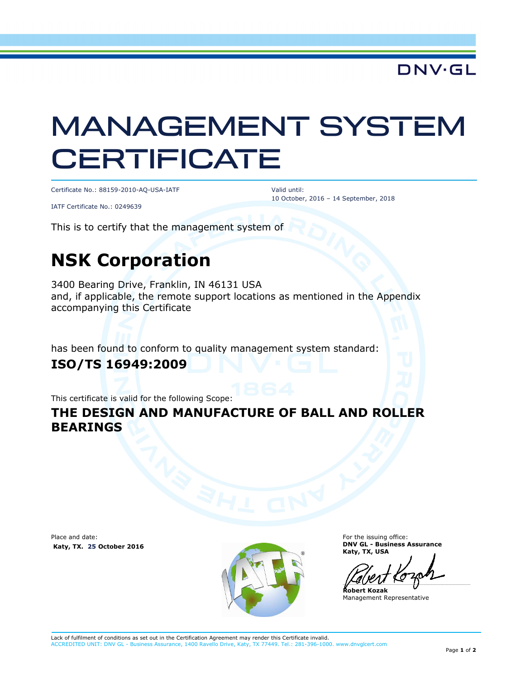**DNV·GL** 

# MANAGEMENT SYSTEM **CERTIFICATE**

Certificate No.: 88159-2010-AQ-USA-IATF

Valid until: 10 October, 2016 – 14 September, 2018

IATF Certificate No.: 0249639

This is to certify that the management system of

## **NSK Corporation**

3400 Bearing Drive, Franklin, IN 46131 USA and, if applicable, the remote support locations as mentioned in the Appendix accompanying this Certificate

has been found to conform to quality management system standard:

#### **ISO/TS 16949:2009**

This certificate is valid for the following Scope:

#### **THE DESIGN AND MANUFACTURE OF BALL AND ROLLER BEARINGS**

Place and date:  **Katy, TX. 25 October 2016** 



For the issuing office: **DNV GL - Business Assurance Katy, TX, USA** 

 $\overline{\phantom{a}}$ 

**Robert Kozak**  Management Representative